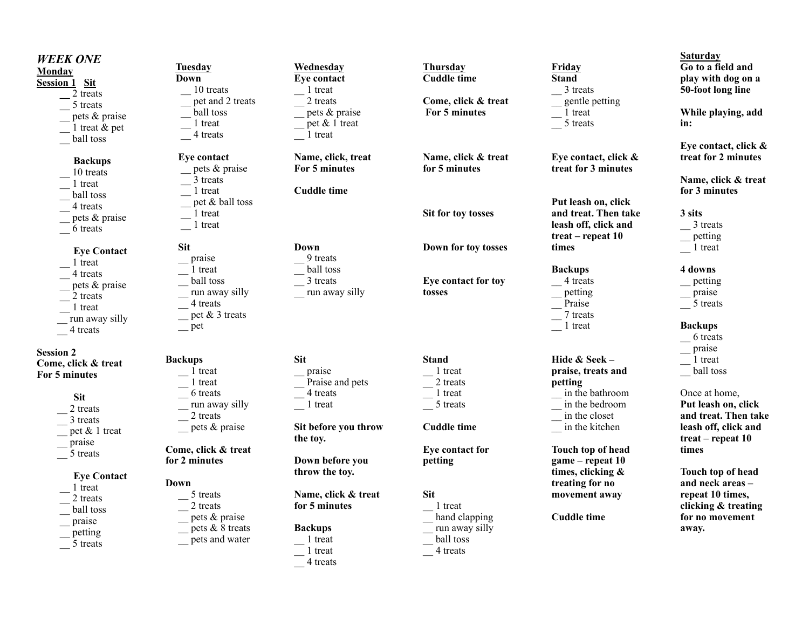#### *WEEK ONE*  **Monday Session 1 Sit \_\_** 2 treats \_\_ 5 treats \_\_ pets & praise 1 treat & pet \_\_ ball toss **Backups** 10 treats \_\_ 1 treat \_\_ ball toss \_\_ 4 treats pets & praise \_\_ 6 treats **Eye Contact** \_\_ 1 treat \_\_ 4 treats pets & praise 2 treats  $\frac{1}{2}$  treat run away silly \_\_ 4 treats **Session 2 Come, click & treat For 5 minutes Sit** 2 treats \_\_ 3 treats \_\_ pet & 1 treat \_\_ praise  $-$  5 treats  **Eye Contact** \_\_ 1 treat 2 treats \_\_ ball toss \_\_ praise \_\_ petting  $\overline{\phantom{0}}$  5 treats  **Tuesday Down**  10 treats pet and 2 treats \_\_ ball toss \_\_ 1 treat \_\_ 4 treats  **Eye contact**  \_\_ pets & praise \_\_ 3 treats  $\frac{1}{1}$  treat pet & ball toss  $\frac{1}{1}$  treat  $\frac{1}{2}$  treat  **Sit** \_\_ praise \_\_ 1 treat \_\_ ball toss \_\_ run away silly \_\_ 4 treats  $p$  pet & 3 treats \_\_ pet **Backups** \_\_ 1 treat \_\_ 1 treat \_\_ 6 treats run away silly  $\frac{2}{1}$  treats \_\_ pets & praise **Come, click & treat for 2 minutes Down** \_\_ 5 treats 2 treats \_\_ pets & praise  $p$ ets & 8 treats \_\_ pets and water **Wednesday Eye contact**  $\frac{1}{2}$  1 treat 2 treats \_\_ pets & praise  $\equiv$  pet & 1 treat  $\frac{1}{1}$  treat **Name, click, treat For 5 minutes Cuddle time Down** \_\_ 9 treats \_\_ ball toss  $-$  3 treats run away silly **Sit**  \_\_ praise \_\_ Praise and pets **\_\_** 4 treats \_\_ 1 treat **Sit before you throw the toy. Down before you throw the toy. Name, click & treat for 5 minutes Backups**   $\frac{1}{1}$  treat **Thursday Cuddle time Come, click & treat For 5 minutes Name, click & treat for 5 minutes Sit for toy tosses Down for toy tosses Eye contact for toy tosses Stand** \_\_ 1 treat  $-$  2 treats  $\frac{1}{1}$  treat  $\overline{\phantom{a}}$  5 treats **Cuddle time Eye contact for petting Sit** \_\_ 1 treat \_\_ hand clapping \_\_ run away silly ball toss **Friday Stand**   $\frac{3}{5}$  treats \_\_ gentle petting  $\frac{1}{2}$  treat \_\_ 5 treats **Eye contact, click & treat for 3 minutes Put leash on, click and treat. Then take leash off, click and treat – repeat 10 times Backups**  $\overline{\phantom{a}}$  4 treats \_\_ petting \_\_ Praise  $-$  7 treats \_\_ 1 treat **Hide & Seek – praise, treats and petting**  \_\_ in the bathroom \_\_ in the bedroom \_\_ in the closet \_\_ in the kitchen **Touch top of head game – repeat 10 times, clicking & treating for no movement away Cuddle time Saturday Go to a field and play with dog on a 50-foot long line While playing, add in: Eye contact, click & treat for 2 minutes Name, click & treat for 3 minutes 3 sits**  $\frac{3}{5}$  treats \_\_ petting  $\frac{1}{1}$  treat **4 downs** \_\_ petting \_\_ praise \_\_ 5 treats **Backups** \_\_ 6 treats \_\_ praise  $\frac{1}{1}$  treat \_\_ ball toss Once at home, **Put leash on, click and treat. Then take leash off, click and treat – repeat 10 times Touch top of head and neck areas – repeat 10 times, clicking & treating for no movement away.**

\_\_ 4 treats

\_\_ 1 treat  $\frac{1}{2}$  4 treats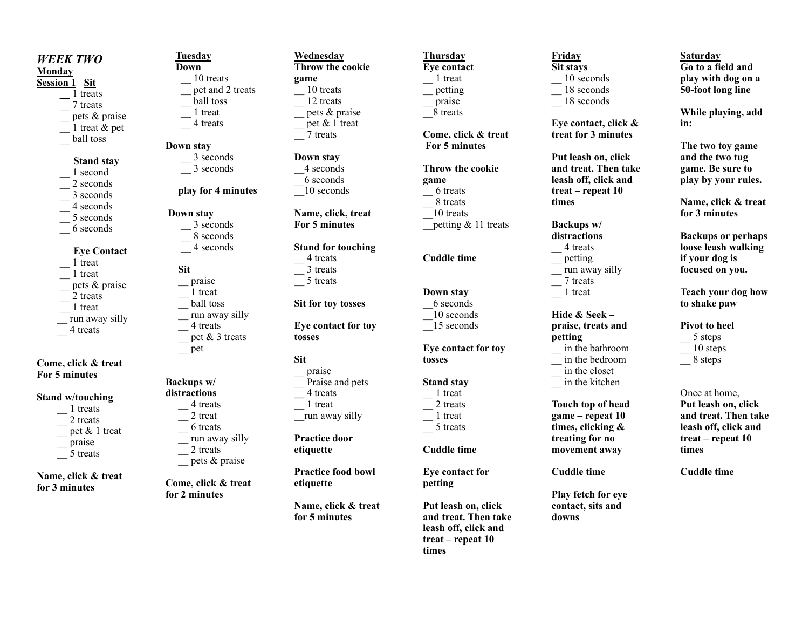# *WEEK TWO*  **Monday**

# **Session 1 Sit**

 **\_\_** 1 treats \_\_ 7 treats \_\_ pets & praise 1 treat  $\&$  pet \_\_ ball toss

#### **Stand stay**

- 1 second 2 seconds
- \_\_ 3 seconds
- \_\_ 4 seconds
- \_\_ 5 seconds
- \_\_ 6 seconds

# **Eye Contact**

- \_\_ 1 treat \_\_ 1 treat pets & praise
- 2 treats
- $\frac{1}{2}$  treat
- run away silly
- \_\_ 4 treats

# **Come, click & treat For 5 minutes**

#### **Stand w/touching**

 \_\_ 1 treats 2 treats \_\_ pet & 1 treat \_\_ praise  $\frac{1}{2}$  5 treats

**Name, click & treat for 3 minutes** 

#### **Tuesday Down** \_\_ 10 treats \_\_ pet and 2 treats \_\_ ball toss

 \_\_ 1 treat \_\_ 4 treats

# **Down stay**  \_\_ 3 seconds

\_\_ 3 seconds

**play for 4 minutes**

# **Down stay**

 $\frac{1}{2}$  seconds \_\_ 8 seconds \_\_ 4 seconds  **Sit** \_\_ praise \_\_ 1 treat \_\_ ball toss run away silly \_\_ 4 treats  $\equiv$  pet & 3 treats \_\_ pet

## **Backups w/ distractions** \_\_ 4 treats 2 treat \_\_ 6 treats run away silly  $\frac{2}{1}$  treats \_\_ pets & praise

**Come, click & treat for 2 minutes** 

#### **Wednesday Throw the cookie game** \_\_ 10 treats  $\frac{12 \text{ treats}}$ \_\_ pets & praise  $\equiv$  pet & 1 treat \_\_ 7 treats

**Down stay**  \_\_4 seconds \_\_6 seconds \_\_10 seconds

**Name, click, treat For 5 minutes**

# **Stand for touching**

 $-$ <sup>4</sup> treats  $\frac{1}{2}$  3 treats  $\frac{1}{2}$  5 treats

**Sit for toy tosses**

#### **Eye contact for toy tosses**

- **Sit**
- \_\_ praise Praise and pets **\_\_** 4 treats  $\frac{1}{2}$  1 treat \_\_run away silly

# **Practice door etiquette**

**Practice food bowl etiquette**

**Name, click & treat for 5 minutes**

# **Thursday Eye contact**   $\frac{1}{1}$  treat \_\_ petting

praise \_\_8 treats

**Come, click & treat For 5 minutes**

#### **Throw the cookie game**  $-6$  treats  $\frac{1}{2}$  8 treats \_\_10 treats petting & 11 treats

**Cuddle time**

# **Down stay**

\_\_6 seconds  $-10$  seconds  $\overline{\phantom{a}}$  15 seconds

## **Eye contact for toy tosses**

# **Stand stay**

1 treat 2 treats  $\frac{1}{1}$  treat  $\frac{1}{2}$  5 treats

**Cuddle time** 

**Eye contact for petting**

**Put leash on, click and treat. Then take leash off, click and treat – repeat 10 times** 

## **Friday Sit stays**   $-$  10 seconds  $-$  18 seconds \_\_ 18 seconds

**Eye contact, click & treat for 3 minutes** 

**Put leash on, click and treat. Then take leash off, click and treat – repeat 10 times** 

**Backups w/ distractions**  $-4$  treats \_\_ petting \_\_ run away silly \_\_ 7 treats \_\_ 1 treat

### **Hide & Seek – praise, treats and petting**

\_\_ in the bathroom \_\_ in the bedroom \_\_ in the closet \_\_ in the kitchen

**Touch top of head game – repeat 10 times, clicking & treating for no movement away** 

**Cuddle time** 

**Play fetch for eye contact, sits and downs**

#### **Saturday Go to a field and play with dog on a 50-foot long line**

**While playing, add in:**

**The two toy game and the two tug game. Be sure to play by your rules.**

**Name, click & treat for 3 minutes**

**Backups or perhaps loose leash walking if your dog is focused on you.**

**Teach your dog how to shake paw**

**Pivot to heel**  $-$  5 steps  $-$  10 steps  $-$  8 steps

Once at home, **Put leash on, click and treat. Then take leash off, click and treat – repeat 10 times**

**Cuddle time**